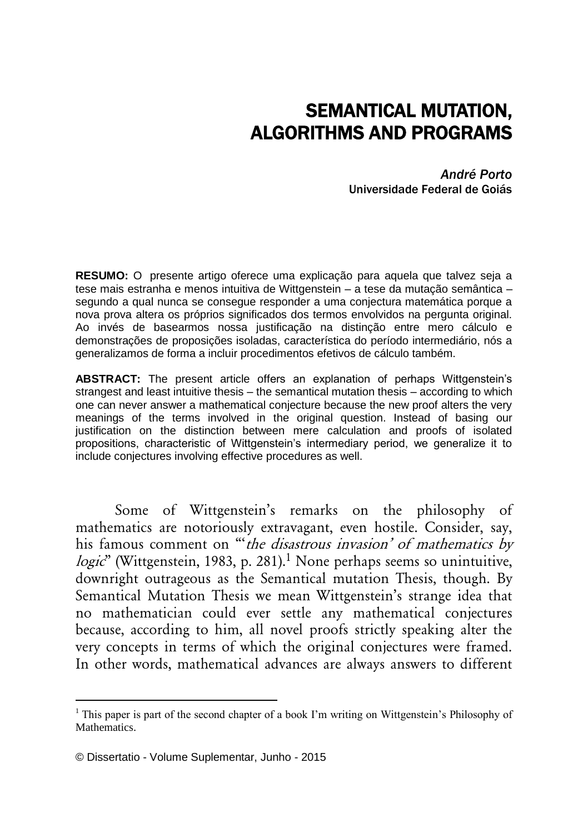# SEMANTICAL MUTATION, ALGORITHMS AND PROGRAMS

*André Porto* Universidade Federal de Goiás

**RESUMO:** O presente artigo oferece uma explicação para aquela que talvez seja a tese mais estranha e menos intuitiva de Wittgenstein – a tese da mutação semântica – segundo a qual nunca se consegue responder a uma conjectura matemática porque a nova prova altera os próprios significados dos termos envolvidos na pergunta original. Ao invés de basearmos nossa justificação na distinção entre mero cálculo e demonstrações de proposições isoladas, característica do período intermediário, nós a generalizamos de forma a incluir procedimentos efetivos de cálculo também.

**ABSTRACT:** The present article offers an explanation of perhaps Wittgenstein's strangest and least intuitive thesis – the semantical mutation thesis – according to which one can never answer a mathematical conjecture because the new proof alters the very meanings of the terms involved in the original question. Instead of basing our justification on the distinction between mere calculation and proofs of isolated propositions, characteristic of Wittgenstein's intermediary period, we generalize it to include conjectures involving effective procedures as well.

Some of Wittgenstein's remarks on the philosophy of mathematics are notoriously extravagant, even hostile. Consider, say, his famous comment on "'the disastrous invasion' of mathematics by logic" (Wittgenstein, 1983, p. 281).<sup>1</sup> None perhaps seems so unintuitive, downright outrageous as the Semantical mutation Thesis, though. By Semantical Mutation Thesis we mean Wittgenstein's strange idea that no mathematician could ever settle any mathematical conjectures because, according to him, all novel proofs strictly speaking alter the very concepts in terms of which the original conjectures were framed. In other words, mathematical advances are always answers to different

<u>.</u>

<sup>&</sup>lt;sup>1</sup> This paper is part of the second chapter of a book I'm writing on Wittgenstein's Philosophy of Mathematics.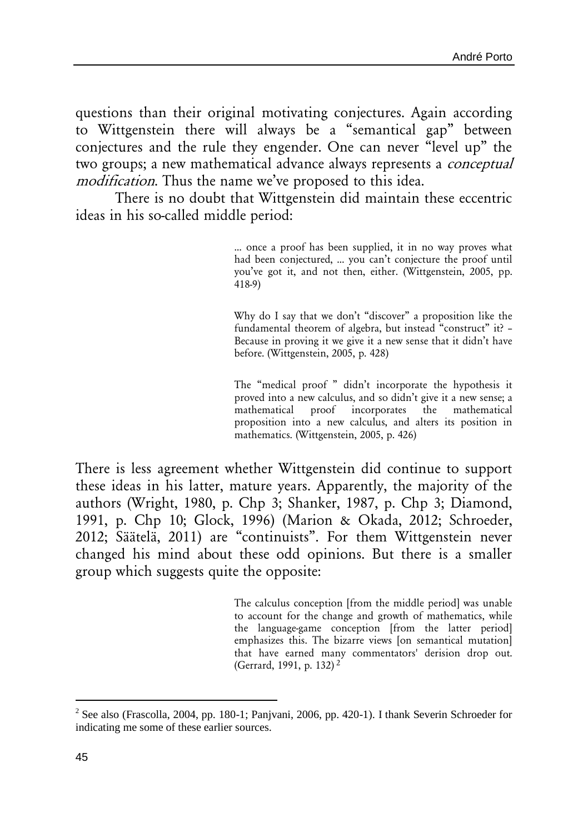questions than their original motivating conjectures. Again according to Wittgenstein there will always be a "semantical gap" between conjectures and the rule they engender. One can never "level up" the two groups; a new mathematical advance always represents a conceptual modification. Thus the name we've proposed to this idea.

There is no doubt that Wittgenstein did maintain these eccentric ideas in his so-called middle period:

> … once a proof has been supplied, it in no way proves what had been conjectured, … you can't conjecture the proof until you've got it, and not then, either. (Wittgenstein, 2005, pp. 418-9)

> Why do I say that we don't "discover" a proposition like the fundamental theorem of algebra, but instead "construct" it? – Because in proving it we give it a new sense that it didn't have before. (Wittgenstein, 2005, p. 428)

> The "medical proof " didn't incorporate the hypothesis it proved into a new calculus, and so didn't give it a new sense; a mathematical proof incorporates the mathematical proposition into a new calculus, and alters its position in mathematics. (Wittgenstein, 2005, p. 426)

There is less agreement whether Wittgenstein did continue to support these ideas in his latter, mature years. Apparently, the majority of the authors (Wright, 1980, p. Chp 3; Shanker, 1987, p. Chp 3; Diamond, 1991, p. Chp 10; Glock, 1996) (Marion & Okada, 2012; Schroeder, 2012; Säätelä, 2011) are "continuists". For them Wittgenstein never changed his mind about these odd opinions. But there is a smaller group which suggests quite the opposite:

> The calculus conception [from the middle period] was unable to account for the change and growth of mathematics, while the language-game conception [from the latter period] emphasizes this. The bizarre views [on semantical mutation] that have earned many commentators' derision drop out. (Gerrard, 1991, p. 132) <sup>2</sup>

<u>.</u>

<sup>&</sup>lt;sup>2</sup> See also (Frascolla, 2004, pp. 180-1; Panjvani, 2006, pp. 420-1). I thank Severin Schroeder for indicating me some of these earlier sources.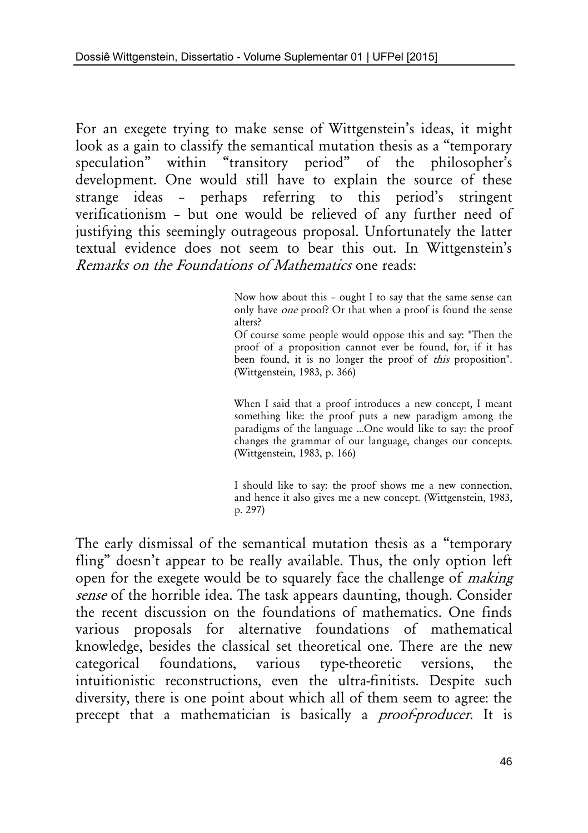For an exegete trying to make sense of Wittgenstein's ideas, it might look as a gain to classify the semantical mutation thesis as a "temporary speculation" within "transitory period" of the philosopher's development. One would still have to explain the source of these strange ideas – perhaps referring to this period's stringent verificationism – but one would be relieved of any further need of justifying this seemingly outrageous proposal. Unfortunately the latter textual evidence does not seem to bear this out. In Wittgenstein's Remarks on the Foundations of Mathematics one reads:

> Now how about this – ought I to say that the same sense can only have one proof? Or that when a proof is found the sense alters?

> Of course some people would oppose this and say: "Then the proof of a proposition cannot ever be found, for, if it has been found, it is no longer the proof of *this* proposition". (Wittgenstein, 1983, p. 366)

> When I said that a proof introduces a new concept, I meant something like: the proof puts a new paradigm among the paradigms of the language …One would like to say: the proof changes the grammar of our language, changes our concepts. (Wittgenstein, 1983, p. 166)

> I should like to say: the proof shows me a new connection, and hence it also gives me a new concept. (Wittgenstein, 1983, p. 297)

The early dismissal of the semantical mutation thesis as a "temporary fling" doesn't appear to be really available. Thus, the only option left open for the exegete would be to squarely face the challenge of making sense of the horrible idea. The task appears daunting, though. Consider the recent discussion on the foundations of mathematics. One finds various proposals for alternative foundations of mathematical knowledge, besides the classical set theoretical one. There are the new categorical foundations, various type-theoretic versions, the intuitionistic reconstructions, even the ultra-finitists. Despite such diversity, there is one point about which all of them seem to agree: the precept that a mathematician is basically a proof-producer. It is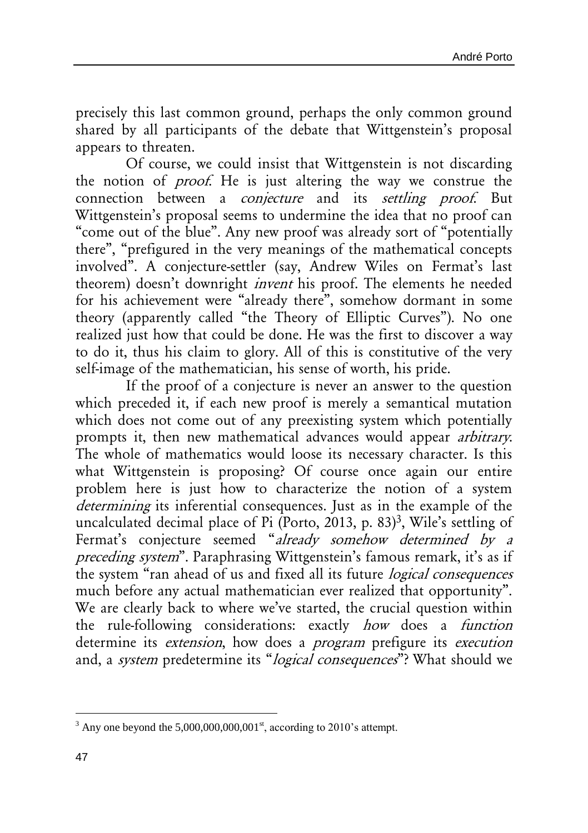precisely this last common ground, perhaps the only common ground shared by all participants of the debate that Wittgenstein's proposal appears to threaten.

Of course, we could insist that Wittgenstein is not discarding the notion of proof. He is just altering the way we construe the connection between a conjecture and its settling proof. But Wittgenstein's proposal seems to undermine the idea that no proof can "come out of the blue". Any new proof was already sort of "potentially there", "prefigured in the very meanings of the mathematical concepts involved". A conjecture-settler (say, Andrew Wiles on Fermat's last theorem) doesn't downright invent his proof. The elements he needed for his achievement were "already there", somehow dormant in some theory (apparently called "the Theory of Elliptic Curves"). No one realized just how that could be done. He was the first to discover a way to do it, thus his claim to glory. All of this is constitutive of the very self-image of the mathematician, his sense of worth, his pride.

If the proof of a conjecture is never an answer to the question which preceded it, if each new proof is merely a semantical mutation which does not come out of any preexisting system which potentially prompts it, then new mathematical advances would appear arbitrary. The whole of mathematics would loose its necessary character. Is this what Wittgenstein is proposing? Of course once again our entire problem here is just how to characterize the notion of a system determining its inferential consequences. Just as in the example of the uncalculated decimal place of Pi (Porto, 2013, p. 83)<sup>3</sup>, Wile's settling of Fermat's conjecture seemed "already somehow determined by a preceding system". Paraphrasing Wittgenstein's famous remark, it's as if the system "ran ahead of us and fixed all its future logical consequences much before any actual mathematician ever realized that opportunity". We are clearly back to where we've started, the crucial question within the rule-following considerations: exactly how does a function determine its *extension*, how does a *program* prefigure its *execution* and, a *system* predetermine its "*logical consequences*"? What should we

<sup>1</sup>  $3$  Any one beyond the 5,000,000,000,001<sup>st</sup>, according to 2010's attempt.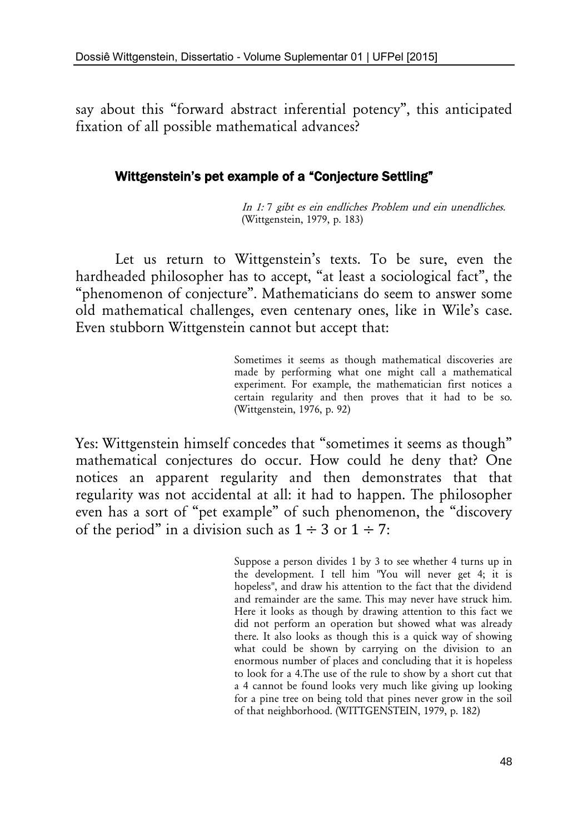say about this "forward abstract inferential potency", this anticipated fixation of all possible mathematical advances?

#### Wittgenstein's pet example of a "Conjecture Settling"

In 1: 7 gibt es ein endliches Problem und ein unendliches. (Wittgenstein, 1979, p. 183)

Let us return to Wittgenstein's texts. To be sure, even the hardheaded philosopher has to accept, "at least a sociological fact", the "phenomenon of conjecture". Mathematicians do seem to answer some old mathematical challenges, even centenary ones, like in Wile's case. Even stubborn Wittgenstein cannot but accept that:

> Sometimes it seems as though mathematical discoveries are made by performing what one might call a mathematical experiment. For example, the mathematician first notices a certain regularity and then proves that it had to be so. (Wittgenstein, 1976, p. 92)

Yes: Wittgenstein himself concedes that "sometimes it seems as though" mathematical conjectures do occur. How could he deny that? One notices an apparent regularity and then demonstrates that that regularity was not accidental at all: it had to happen. The philosopher even has a sort of "pet example" of such phenomenon, the "discovery of the period" in a division such as  $1 \div 3$  or  $1 \div 7$ :

> Suppose a person divides 1 by 3 to see whether 4 turns up in the development. I tell him "You will never get 4; it is hopeless", and draw his attention to the fact that the dividend and remainder are the same. This may never have struck him. Here it looks as though by drawing attention to this fact we did not perform an operation but showed what was already there. It also looks as though this is a quick way of showing what could be shown by carrying on the division to an enormous number of places and concluding that it is hopeless to look for a 4.The use of the rule to show by a short cut that a 4 cannot be found looks very much like giving up looking for a pine tree on being told that pines never grow in the soil of that neighborhood. (WITTGENSTEIN, 1979, p. 182)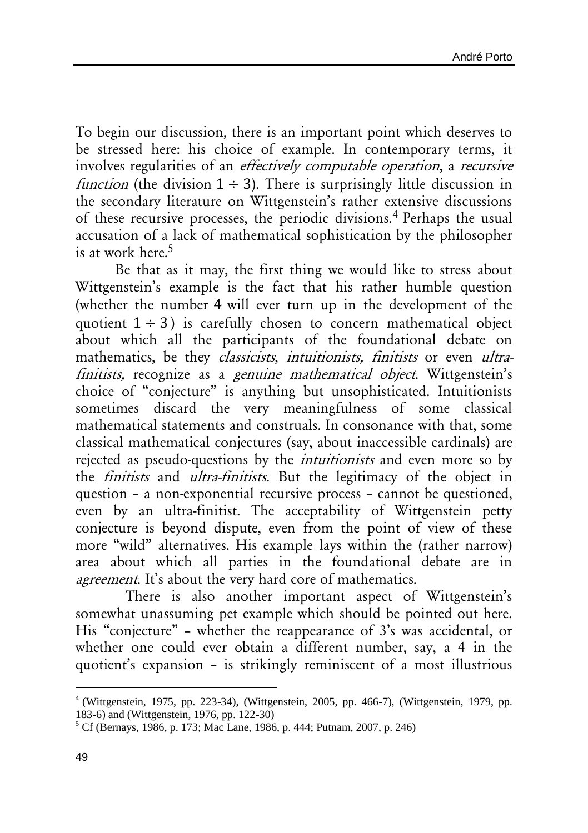To begin our discussion, there is an important point which deserves to be stressed here: his choice of example. In contemporary terms, it involves regularities of an effectively computable operation, a recursive function (the division  $1 \div 3$ ). There is surprisingly little discussion in the secondary literature on Wittgenstein's rather extensive discussions of these recursive processes, the periodic divisions.<sup>4</sup> Perhaps the usual accusation of a lack of mathematical sophistication by the philosopher is at work here.<sup>5</sup>

Be that as it may, the first thing we would like to stress about Wittgenstein's example is the fact that his rather humble question (whether the number 4 will ever turn up in the development of the quotient  $1 \div 3$ ) is carefully chosen to concern mathematical object about which all the participants of the foundational debate on mathematics, be they classicists, intuitionists, finitists or even ultrafinitists, recognize as a genuine mathematical object. Wittgenstein's choice of "conjecture" is anything but unsophisticated. Intuitionists sometimes discard the very meaningfulness of some classical mathematical statements and construals. In consonance with that, some classical mathematical conjectures (say, about inaccessible cardinals) are rejected as pseudo-questions by the intuitionists and even more so by the finitists and ultra-finitists. But the legitimacy of the object in question – a non-exponential recursive process – cannot be questioned, even by an ultra-finitist. The acceptability of Wittgenstein petty conjecture is beyond dispute, even from the point of view of these more "wild" alternatives. His example lays within the (rather narrow) area about which all parties in the foundational debate are in agreement. It's about the very hard core of mathematics.

There is also another important aspect of Wittgenstein's somewhat unassuming pet example which should be pointed out here. His "conjecture" – whether the reappearance of 3's was accidental, or whether one could ever obtain a different number, say, a 4 in the quotient's expansion – is strikingly reminiscent of a most illustrious

1

<sup>4</sup> (Wittgenstein, 1975, pp. 223-34), (Wittgenstein, 2005, pp. 466-7), (Wittgenstein, 1979, pp. 183-6) and (Wittgenstein, 1976, pp. 122-30)

<sup>5</sup> Cf (Bernays, 1986, p. 173; Mac Lane, 1986, p. 444; Putnam, 2007, p. 246)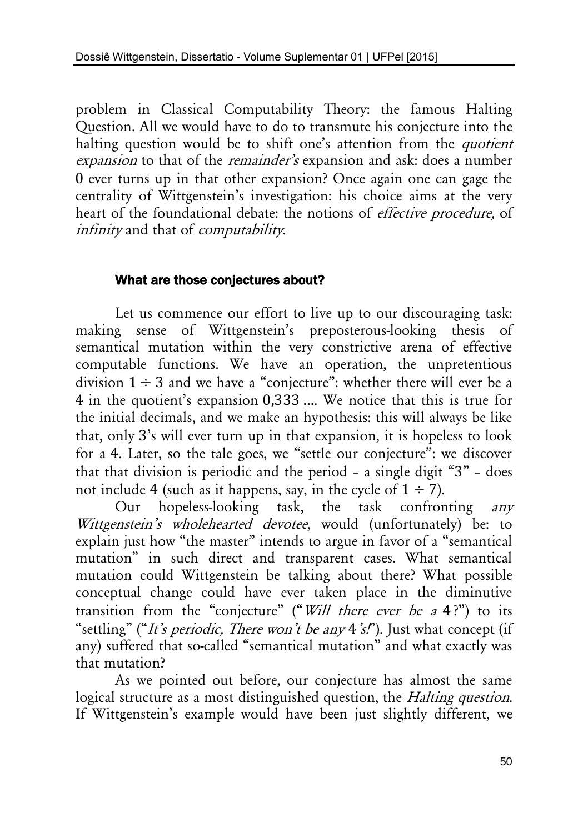problem in Classical Computability Theory: the famous Halting Question. All we would have to do to transmute his conjecture into the halting question would be to shift one's attention from the *quotient* expansion to that of the remainder's expansion and ask: does a number 0 ever turns up in that other expansion? Once again one can gage the centrality of Wittgenstein's investigation: his choice aims at the very heart of the foundational debate: the notions of effective procedure, of infinity and that of computability.

#### What are those conjectures about?

Let us commence our effort to live up to our discouraging task: making sense of Wittgenstein's preposterous-looking thesis of semantical mutation within the very constrictive arena of effective computable functions. We have an operation, the unpretentious division  $1 \div 3$  and we have a "conjecture": whether there will ever be a 4 in the quotient's expansion 0,333 …. We notice that this is true for the initial decimals, and we make an hypothesis: this will always be like that, only 3's will ever turn up in that expansion, it is hopeless to look for a 4. Later, so the tale goes, we "settle our conjecture": we discover that that division is periodic and the period – a single digit "3" – does not include 4 (such as it happens, say, in the cycle of  $1 \div 7$ ).

Our hopeless-looking task, the task confronting any Wittgenstein's wholehearted devotee, would (unfortunately) be: to explain just how "the master" intends to argue in favor of a "semantical mutation" in such direct and transparent cases. What semantical mutation could Wittgenstein be talking about there? What possible conceptual change could have ever taken place in the diminutive transition from the "conjecture" ("Will there ever be a 4?") to its "settling" ("It's periodic, There won't be any  $4's$ "). Just what concept (if any) suffered that so-called "semantical mutation" and what exactly was that mutation?

As we pointed out before, our conjecture has almost the same logical structure as a most distinguished question, the *Halting question*. If Wittgenstein's example would have been just slightly different, we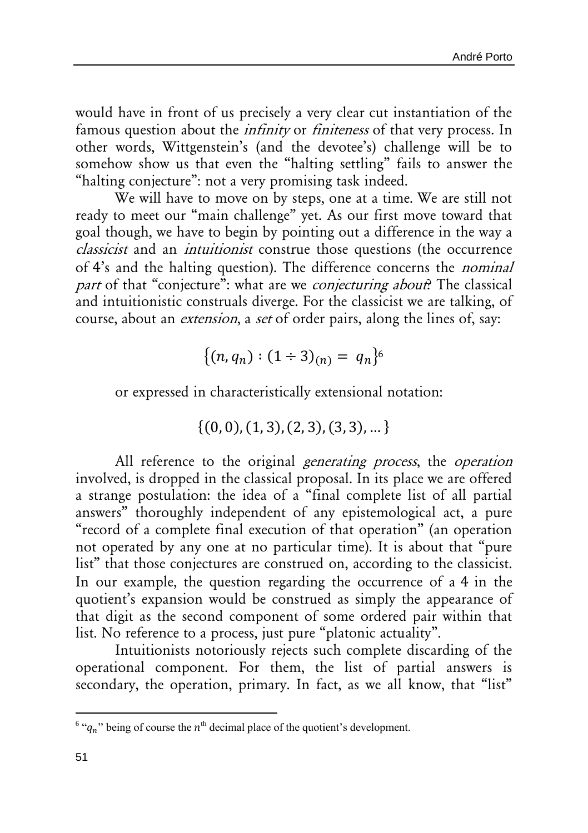would have in front of us precisely a very clear cut instantiation of the famous question about the *infinity* or *finiteness* of that very process. In other words, Wittgenstein's (and the devotee's) challenge will be to somehow show us that even the "halting settling" fails to answer the "halting conjecture": not a very promising task indeed.

We will have to move on by steps, one at a time. We are still not ready to meet our "main challenge" yet. As our first move toward that goal though, we have to begin by pointing out a difference in the way a classicist and an intuitionist construe those questions (the occurrence of 4's and the halting question). The difference concerns the nominal part of that "conjecture": what are we *conjecturing about*? The classical and intuitionistic construals diverge. For the classicist we are talking, of course, about an extension, a set of order pairs, along the lines of, say:

$$
\{(n, q_n) : (1 \div 3)_{(n)} = q_n\}^6
$$

or expressed in characteristically extensional notation:

 $\{(0, 0), (1, 3), (2, 3), (3, 3), \dots\}$ 

All reference to the original *generating process*, the *operation* involved, is dropped in the classical proposal. In its place we are offered a strange postulation: the idea of a "final complete list of all partial answers" thoroughly independent of any epistemological act, a pure "record of a complete final execution of that operation" (an operation not operated by any one at no particular time). It is about that "pure list" that those conjectures are construed on, according to the classicist. In our example, the question regarding the occurrence of a 4 in the quotient's expansion would be construed as simply the appearance of that digit as the second component of some ordered pair within that list. No reference to a process, just pure "platonic actuality".

Intuitionists notoriously rejects such complete discarding of the operational component. For them, the list of partial answers is secondary, the operation, primary. In fact, as we all know, that "list"

<u>.</u>

 $6$  " $q_n$ " being of course the  $n<sup>th</sup>$  decimal place of the quotient's development.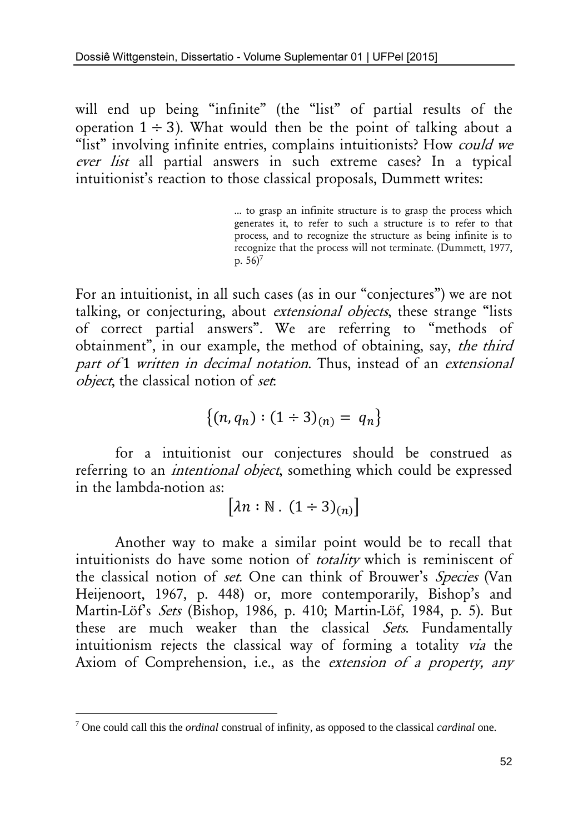will end up being "infinite" (the "list" of partial results of the operation  $1 \div 3$ ). What would then be the point of talking about a "list" involving infinite entries, complains intuitionists? How could we ever list all partial answers in such extreme cases? In a typical intuitionist's reaction to those classical proposals, Dummett writes:

> … to grasp an infinite structure is to grasp the process which generates it, to refer to such a structure is to refer to that process, and to recognize the structure as being infinite is to recognize that the process will not terminate. (Dummett, 1977, p.  $56$ <sup>7</sup>

For an intuitionist, in all such cases (as in our "conjectures") we are not talking, or conjecturing, about *extensional objects*, these strange "lists of correct partial answers". We are referring to "methods of obtainment", in our example, the method of obtaining, say, the third part of 1 written in decimal notation. Thus, instead of an extensional object, the classical notion of set.

$$
\{(n, q_n) : (1 \div 3)_{(n)} = q_n\}
$$

for a intuitionist our conjectures should be construed as referring to an intentional object, something which could be expressed in the lambda-notion as:

 $[\lambda n : \mathbb{N} \cdot (1 \div 3)_{(n)}]$ 

Another way to make a similar point would be to recall that intuitionists do have some notion of *totality* which is reminiscent of the classical notion of set. One can think of Brouwer's Species (Van Heijenoort, 1967, p. 448) or, more contemporarily, Bishop's and Martin-Löf's Sets (Bishop, 1986, p. 410; Martin-Löf, 1984, p. 5). But these are much weaker than the classical Sets. Fundamentally intuitionism rejects the classical way of forming a totality via the Axiom of Comprehension, i.e., as the extension of a property, any

1

<sup>7</sup> One could call this the *ordinal* construal of infinity, as opposed to the classical *cardinal* one.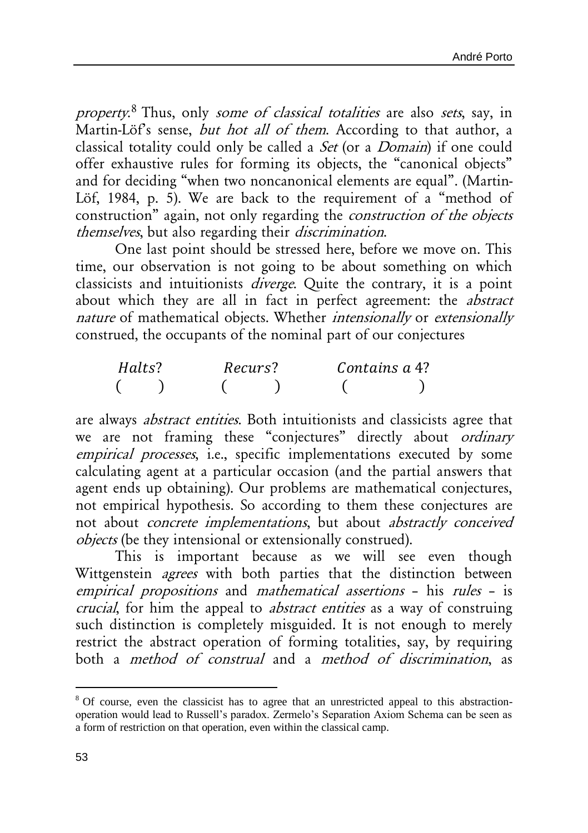property.<sup>8</sup> Thus, only some of classical totalities are also sets, say, in Martin-Löf's sense, but hot all of them. According to that author, a classical totality could only be called a Set (or a Domain) if one could offer exhaustive rules for forming its objects, the "canonical objects" and for deciding "when two noncanonical elements are equal". (Martin-Löf, 1984, p. 5). We are back to the requirement of a "method of construction" again, not only regarding the construction of the objects themselves, but also regarding their discrimination.

One last point should be stressed here, before we move on. This time, our observation is not going to be about something on which classicists and intuitionists diverge. Quite the contrary, it is a point about which they are all in fact in perfect agreement: the abstract nature of mathematical objects. Whether *intensionally* or *extensionally* construed, the occupants of the nominal part of our conjectures

| Halts? |  | Recurs? |  | Contains a 4? |  |
|--------|--|---------|--|---------------|--|
|        |  |         |  |               |  |

are always abstract entities. Both intuitionists and classicists agree that we are not framing these "conjectures" directly about *ordinary* empirical processes, i.e., specific implementations executed by some calculating agent at a particular occasion (and the partial answers that agent ends up obtaining). Our problems are mathematical conjectures, not empirical hypothesis. So according to them these conjectures are not about concrete implementations, but about abstractly conceived objects (be they intensional or extensionally construed).

This is important because as we will see even though Wittgenstein *agrees* with both parties that the distinction between empirical propositions and mathematical assertions – his rules – is crucial, for him the appeal to abstract entities as a way of construing such distinction is completely misguided. It is not enough to merely restrict the abstract operation of forming totalities, say, by requiring both a method of construal and a method of discrimination, as

1

<sup>&</sup>lt;sup>8</sup> Of course, even the classicist has to agree that an unrestricted appeal to this abstractionoperation would lead to Russell's paradox. Zermelo's Separation Axiom Schema can be seen as a form of restriction on that operation, even within the classical camp.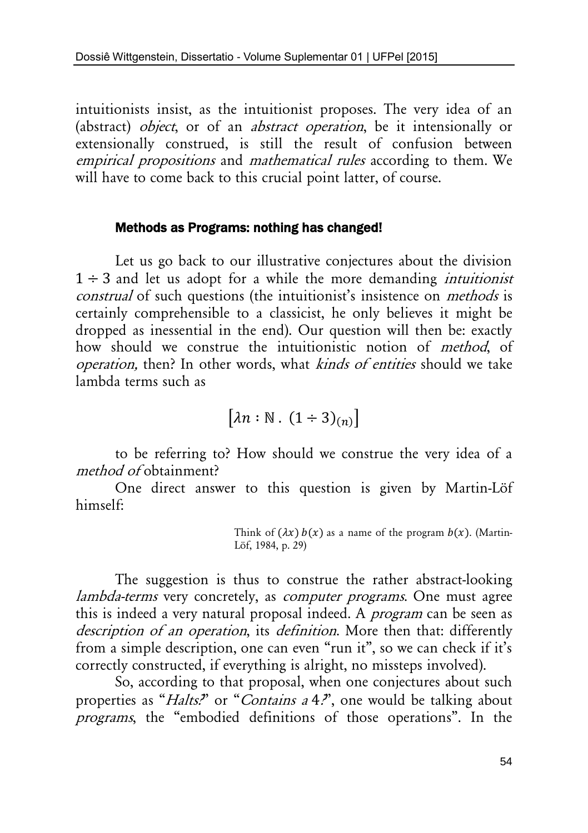intuitionists insist, as the intuitionist proposes. The very idea of an (abstract) object, or of an abstract operation, be it intensionally or extensionally construed, is still the result of confusion between empirical propositions and mathematical rules according to them. We will have to come back to this crucial point latter, of course.

#### Methods as Programs: nothing has changed!

Let us go back to our illustrative conjectures about the division  $1 \div 3$  and let us adopt for a while the more demanding *intuitionist* construal of such questions (the intuitionist's insistence on *methods* is certainly comprehensible to a classicist, he only believes it might be dropped as inessential in the end). Our question will then be: exactly how should we construe the intuitionistic notion of *method*, of operation, then? In other words, what kinds of entities should we take lambda terms such as

$$
[\lambda n : \mathbb{N} \cdot (1 \div 3)_{(n)}]
$$

to be referring to? How should we construe the very idea of a method of obtainment?

One direct answer to this question is given by Martin-Löf himself:

> Think of  $(\lambda x)$   $b(x)$  as a name of the program  $b(x)$ . (Martin-Löf, 1984, p. 29)

The suggestion is thus to construe the rather abstract-looking lambda-terms very concretely, as computer programs. One must agree this is indeed a very natural proposal indeed. A *program* can be seen as description of an operation, its definition. More then that: differently from a simple description, one can even "run it", so we can check if it's correctly constructed, if everything is alright, no missteps involved).

So, according to that proposal, when one conjectures about such properties as "*Halts?*" or "*Contains a* 4.<sup>"</sup>, one would be talking about programs, the "embodied definitions of those operations". In the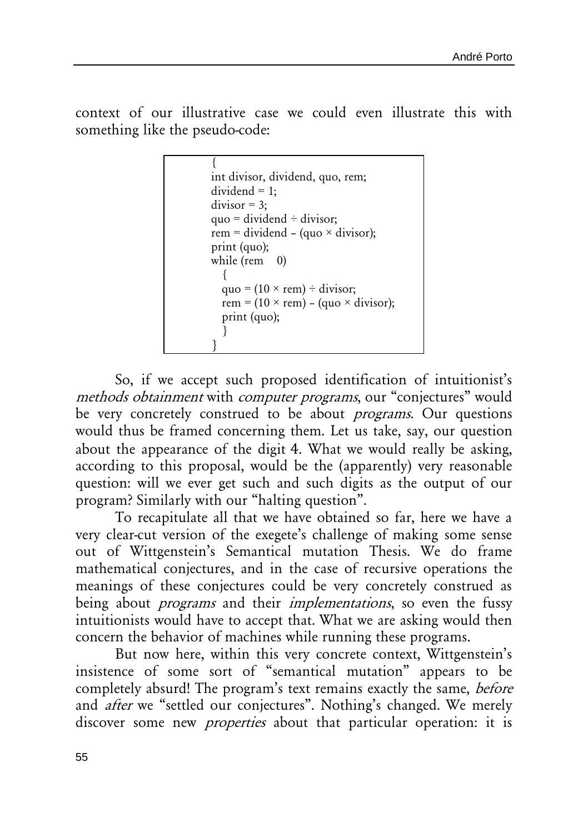context of our illustrative case we could even illustrate this with something like the pseudo-code:

```
{
int divisor, dividend, quo, rem;
dividend = 1;
divisor = 3:
quo = dividend \div divisor;
rem = dividend – (quo \times divisor);
print (quo);
while (rem = 0)
   {
  quo = (10 \times \text{rem}) \div \text{divisor};
  rem = (10 \times \text{rem}) – (quo \times divisor);
  print (quo);
   }
}
```
So, if we accept such proposed identification of intuitionist's methods obtainment with computer programs, our "conjectures" would be very concretely construed to be about *programs*. Our questions would thus be framed concerning them. Let us take, say, our question about the appearance of the digit 4. What we would really be asking, according to this proposal, would be the (apparently) very reasonable question: will we ever get such and such digits as the output of our program? Similarly with our "halting question".

To recapitulate all that we have obtained so far, here we have a very clear-cut version of the exegete's challenge of making some sense out of Wittgenstein's Semantical mutation Thesis. We do frame mathematical conjectures, and in the case of recursive operations the meanings of these conjectures could be very concretely construed as being about *programs* and their *implementations*, so even the fussy intuitionists would have to accept that. What we are asking would then concern the behavior of machines while running these programs.

But now here, within this very concrete context, Wittgenstein's insistence of some sort of "semantical mutation" appears to be completely absurd! The program's text remains exactly the same, before and after we "settled our conjectures". Nothing's changed. We merely discover some new *properties* about that particular operation: it is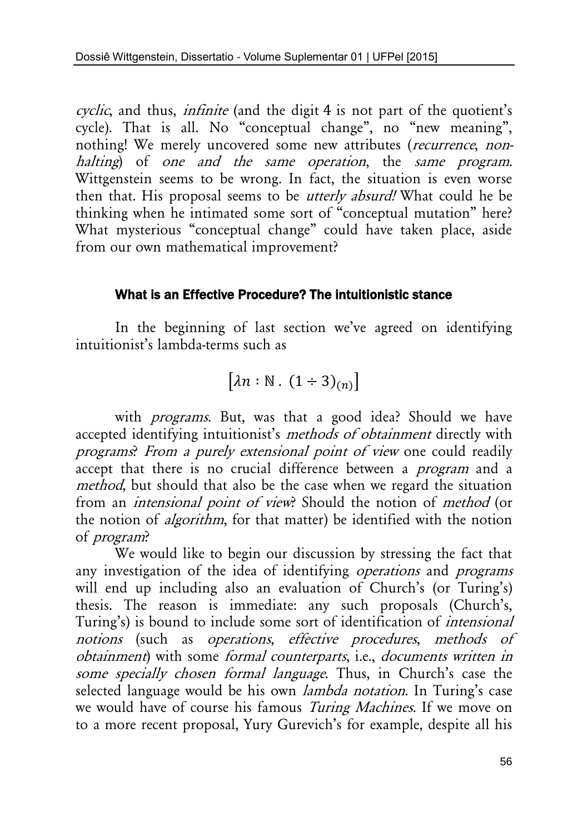cyclic, and thus, infinite (and the digit 4 is not part of the quotient's cycle). That is all. No "conceptual change", no "new meaning", nothing! We merely uncovered some new attributes (recurrence, nonhalting) of one and the same operation, the same program. Wittgenstein seems to be wrong. In fact, the situation is even worse then that. His proposal seems to be *utterly absurd!* What could he be thinking when he intimated some sort of "conceptual mutation" here? What mysterious "conceptual change" could have taken place, aside from our own mathematical improvement?

### What is an Effective Procedure? The intuitionistic stance

In the beginning of last section we've agreed on identifying intuitionist's lambda-terms such as

$$
[\lambda n : \mathbb{N} \cdot (1 \div 3)_{(n)}]
$$

with *programs*. But, was that a good idea? Should we have accepted identifying intuitionist's *methods of obtainment* directly with programs? From a purely extensional point of view one could readily accept that there is no crucial difference between a *program* and a method, but should that also be the case when we regard the situation from an intensional point of view? Should the notion of method (or the notion of algorithm, for that matter) be identified with the notion of program?

We would like to begin our discussion by stressing the fact that any investigation of the idea of identifying *operations* and *programs* will end up including also an evaluation of Church's (or Turing's) thesis. The reason is immediate: any such proposals (Church's, Turing's) is bound to include some sort of identification of intensional notions (such as operations, effective procedures, methods of obtainment) with some formal counterparts, i.e., documents written in some specially chosen formal language. Thus, in Church's case the selected language would be his own *lambda notation*. In Turing's case we would have of course his famous Turing Machines. If we move on to a more recent proposal, Yury Gurevich's for example, despite all his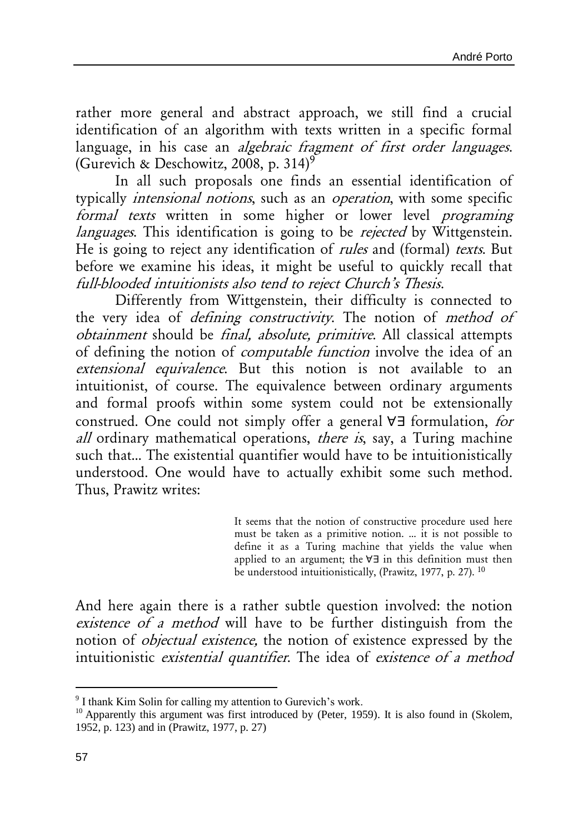rather more general and abstract approach, we still find a crucial identification of an algorithm with texts written in a specific formal language, in his case an *algebraic fragment of first order languages*. (Gurevich & Deschowitz, 2008, p. 314)<sup>9</sup>

In all such proposals one finds an essential identification of typically intensional notions, such as an operation, with some specific formal texts written in some higher or lower level programing languages. This identification is going to be *rejected* by Wittgenstein. He is going to reject any identification of rules and (formal) texts. But before we examine his ideas, it might be useful to quickly recall that full-blooded intuitionists also tend to reject Church's Thesis.

Differently from Wittgenstein, their difficulty is connected to the very idea of defining constructivity. The notion of method of obtainment should be final, absolute, primitive. All classical attempts of defining the notion of computable function involve the idea of an extensional equivalence. But this notion is not available to an intuitionist, of course. The equivalence between ordinary arguments and formal proofs within some system could not be extensionally construed. One could not simply offer a general ∀∃ formulation, for all ordinary mathematical operations, there is, say, a Turing machine such that… The existential quantifier would have to be intuitionistically understood. One would have to actually exhibit some such method. Thus, Prawitz writes:

> It seems that the notion of constructive procedure used here must be taken as a primitive notion. … it is not possible to define it as a Turing machine that yields the value when applied to an argument; the ∀∃ in this definition must then be understood intuitionistically, (Prawitz, 1977, p. 27). <sup>10</sup>

And here again there is a rather subtle question involved: the notion existence of a method will have to be further distinguish from the notion of objectual existence, the notion of existence expressed by the intuitionistic existential quantifier. The idea of existence of a method

1

<sup>&</sup>lt;sup>9</sup> I thank Kim Solin for calling my attention to Gurevich's work.

<sup>&</sup>lt;sup>10</sup> Apparently this argument was first introduced by (Peter, 1959). It is also found in (Skolem, 1952, p. 123) and in (Prawitz, 1977, p. 27)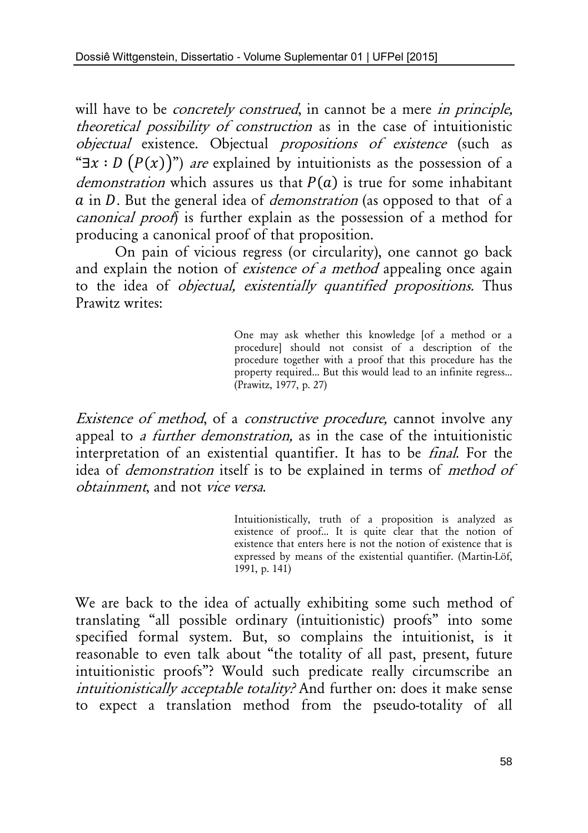will have to be *concretely construed*, in cannot be a mere *in principle*, theoretical possibility of construction as in the case of intuitionistic objectual existence. Objectual propositions of existence (such as " $\exists x : D(P(x))$ ") are explained by intuitionists as the possession of a demonstration which assures us that  $P(a)$  is true for some inhabitant  $\alpha$  in  $D$ . But the general idea of *demonstration* (as opposed to that of a canonical proof) is further explain as the possession of a method for producing a canonical proof of that proposition.

On pain of vicious regress (or circularity), one cannot go back and explain the notion of *existence of a method* appealing once again to the idea of objectual, existentially quantified propositions. Thus Prawitz writes:

> One may ask whether this knowledge [of a method or a procedure] should not consist of a description of the procedure together with a proof that this procedure has the property required… But this would lead to an infinite regress… (Prawitz, 1977, p. 27)

Existence of method, of a constructive procedure, cannot involve any appeal to a further demonstration, as in the case of the intuitionistic interpretation of an existential quantifier. It has to be final. For the idea of demonstration itself is to be explained in terms of method of obtainment, and not vice versa.

> Intuitionistically, truth of a proposition is analyzed as existence of proof… It is quite clear that the notion of existence that enters here is not the notion of existence that is expressed by means of the existential quantifier. (Martin-Löf, 1991, p. 141)

We are back to the idea of actually exhibiting some such method of translating "all possible ordinary (intuitionistic) proofs" into some specified formal system. But, so complains the intuitionist, is it reasonable to even talk about "the totality of all past, present, future intuitionistic proofs"? Would such predicate really circumscribe an intuitionistically acceptable totality? And further on: does it make sense to expect a translation method from the pseudo-totality of all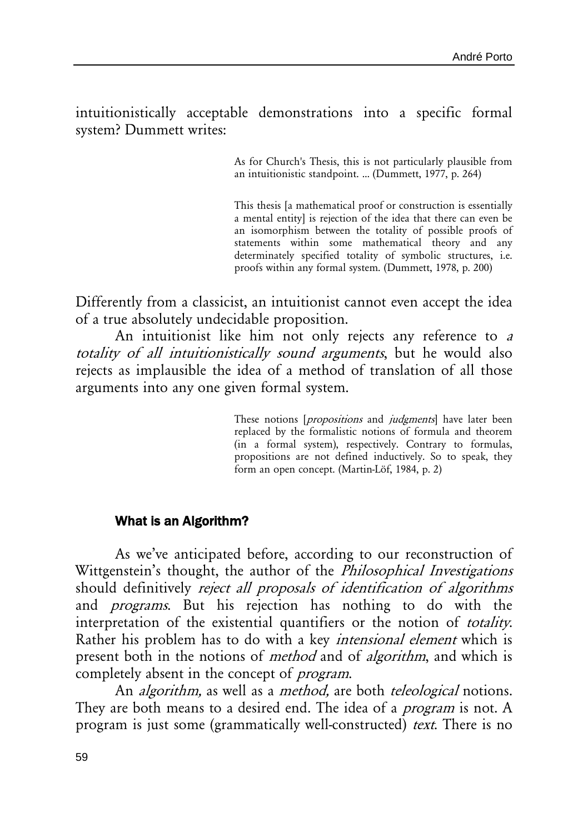intuitionistically acceptable demonstrations into a specific formal system? Dummett writes:

> As for Church's Thesis, this is not particularly plausible from an intuitionistic standpoint. … (Dummett, 1977, p. 264)

> This thesis [a mathematical proof or construction is essentially a mental entity] is rejection of the idea that there can even be an isomorphism between the totality of possible proofs of statements within some mathematical theory and any determinately specified totality of symbolic structures, i.e. proofs within any formal system. (Dummett, 1978, p. 200)

Differently from a classicist, an intuitionist cannot even accept the idea of a true absolutely undecidable proposition.

An intuitionist like him not only rejects any reference to a totality of all intuitionistically sound arguments, but he would also rejects as implausible the idea of a method of translation of all those arguments into any one given formal system.

> These notions [*propositions* and *judgments*] have later been replaced by the formalistic notions of formula and theorem (in a formal system), respectively. Contrary to formulas, propositions are not defined inductively. So to speak, they form an open concept. (Martin-Löf, 1984, p. 2)

#### What is an Algorithm?

As we've anticipated before, according to our reconstruction of Wittgenstein's thought, the author of the Philosophical Investigations should definitively reject all proposals of identification of algorithms and programs. But his rejection has nothing to do with the interpretation of the existential quantifiers or the notion of totality. Rather his problem has to do with a key intensional element which is present both in the notions of *method* and of *algorithm*, and which is completely absent in the concept of *program*.

An *algorithm*, as well as a *method*, are both *teleological* notions. They are both means to a desired end. The idea of a *program* is not. A program is just some (grammatically well-constructed) text. There is no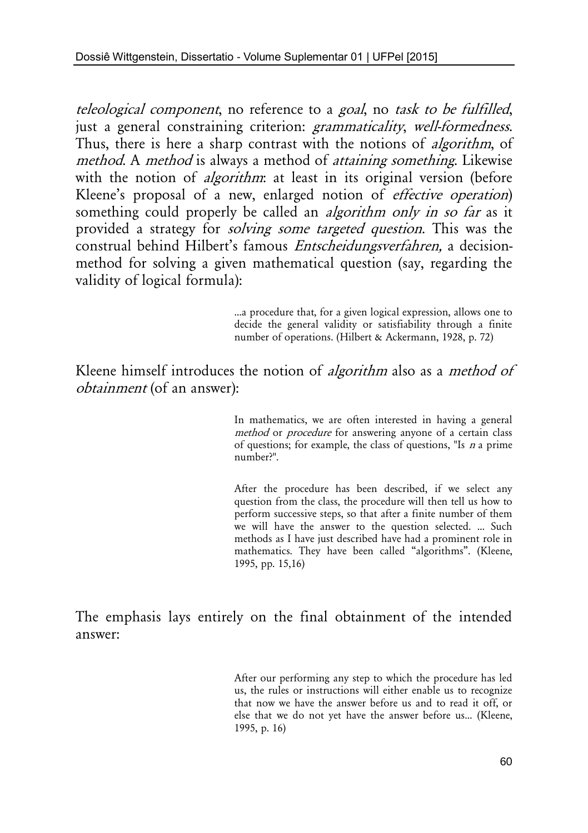teleological component, no reference to a goal, no task to be fulfilled, just a general constraining criterion: *grammaticality*, well-formedness. Thus, there is here a sharp contrast with the notions of *algorithm*, of method. A method is always a method of attaining something. Likewise with the notion of *algorithm*: at least in its original version (before Kleene's proposal of a new, enlarged notion of effective operation) something could properly be called an *algorithm only in so far* as it provided a strategy for solving some targeted question. This was the construal behind Hilbert's famous Entscheidungsverfahren, a decisionmethod for solving a given mathematical question (say, regarding the validity of logical formula):

> …a procedure that, for a given logical expression, allows one to decide the general validity or satisfiability through a finite number of operations. (Hilbert & Ackermann, 1928, p. 72)

Kleene himself introduces the notion of *algorithm* also as a *method of* obtainment (of an answer):

> In mathematics, we are often interested in having a general method or *procedure* for answering anyone of a certain class of questions; for example, the class of questions, "Is  $n$  a prime number?".

> After the procedure has been described, if we select any question from the class, the procedure will then tell us how to perform successive steps, so that after a finite number of them we will have the answer to the question selected. … Such methods as I have just described have had a prominent role in mathematics. They have been called "algorithms". (Kleene, 1995, pp. 15,16)

The emphasis lays entirely on the final obtainment of the intended answer:

> After our performing any step to which the procedure has led us, the rules or instructions will either enable us to recognize that now we have the answer before us and to read it off, or else that we do not yet have the answer before us… (Kleene, 1995, p. 16)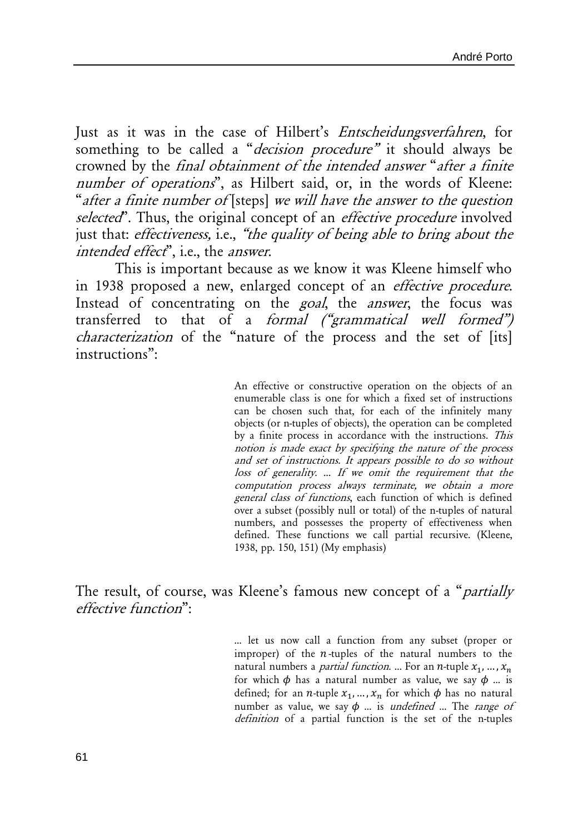Just as it was in the case of Hilbert's Entscheidungsverfahren, for something to be called a "*decision procedure*" it should always be crowned by the final obtainment of the intended answer "after a finite number of operations", as Hilbert said, or, in the words of Kleene: "after a finite number of [steps] we will have the answer to the question selected". Thus, the original concept of an *effective procedure* involved just that: effectiveness, i.e., "the quality of being able to bring about the intended effect", i.e., the answer.

This is important because as we know it was Kleene himself who in 1938 proposed a new, enlarged concept of an effective procedure. Instead of concentrating on the *goal*, the *answer*, the focus was transferred to that of a formal ("grammatical well formed") characterization of the "nature of the process and the set of [its] instructions":

> An effective or constructive operation on the objects of an enumerable class is one for which a fixed set of instructions can be chosen such that, for each of the infinitely many objects (or n-tuples of objects), the operation can be completed by a finite process in accordance with the instructions. This notion is made exact by specifying the nature of the process and set of instructions. It appears possible to do so without loss of generality. … If we omit the requirement that the computation process always terminate, we obtain a more general class of functions, each function of which is defined over a subset (possibly null or total) of the n-tuples of natural numbers, and possesses the property of effectiveness when defined. These functions we call partial recursive. (Kleene, 1938, pp. 150, 151) (My emphasis)

The result, of course, was Kleene's famous new concept of a "*partially* effective function":

> … let us now call a function from any subset (proper or improper) of the  $n$ -tuples of the natural numbers to the natural numbers a *partial function*. ... For an  $n$ -tuple  $x_1, ..., x_n$ for which  $\phi$  has a natural number as value, we say  $\phi$  ... is defined; for an n-tuple  $x_1, ..., x_n$  for which  $\phi$  has no natural number as value, we say  $\phi$  ... is *undefined* ... The *range of* definition of a partial function is the set of the n-tuples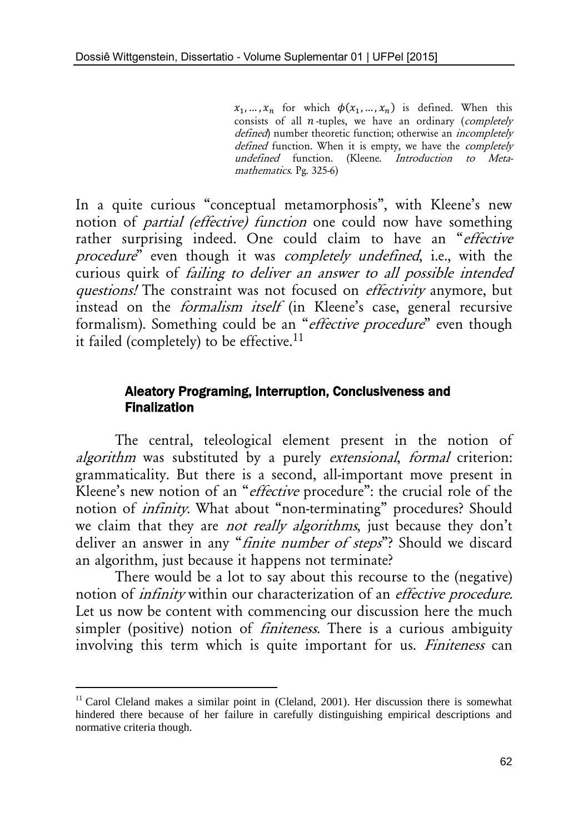$x_1, \ldots, x_n$  for which  $\phi(x_1, \ldots, x_n)$  is defined. When this consists of all  $n$ -tuples, we have an ordinary (completely defined) number theoretic function; otherwise an *incompletely* defined function. When it is empty, we have the completely undefined function. (Kleene. Introduction to Metamathematics. Pg. 325-6)

In a quite curious "conceptual metamorphosis", with Kleene's new notion of partial (effective) function one could now have something rather surprising indeed. One could claim to have an "effective procedure" even though it was completely undefined, i.e., with the curious quirk of failing to deliver an answer to all possible intended questions! The constraint was not focused on *effectivity* anymore, but instead on the formalism itself (in Kleene's case, general recursive formalism). Something could be an "*effective procedure*" even though it failed (completely) to be effective.<sup>11</sup>

#### Aleatory Programing, Interruption, Conclusiveness and Finalization

The central, teleological element present in the notion of algorithm was substituted by a purely extensional, formal criterion: grammaticality. But there is a second, all-important move present in Kleene's new notion of an "effective procedure": the crucial role of the notion of infinity. What about "non-terminating" procedures? Should we claim that they are *not really algorithms*, just because they don't deliver an answer in any "finite number of steps"? Should we discard an algorithm, just because it happens not terminate?

There would be a lot to say about this recourse to the (negative) notion of infinity within our characterization of an effective procedure. Let us now be content with commencing our discussion here the much simpler (positive) notion of *finiteness*. There is a curious ambiguity involving this term which is quite important for us. Finiteness can

<sup>1</sup>  $11$  Carol Cleland makes a similar point in (Cleland, 2001). Her discussion there is somewhat hindered there because of her failure in carefully distinguishing empirical descriptions and normative criteria though.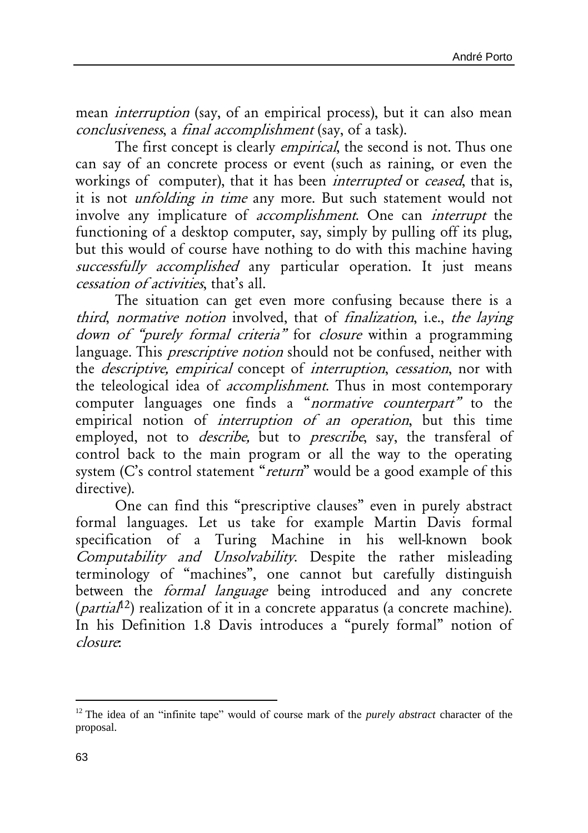mean interruption (say, of an empirical process), but it can also mean conclusiveness, a final accomplishment (say, of a task).

The first concept is clearly *empirical*, the second is not. Thus one can say of an concrete process or event (such as raining, or even the workings of computer), that it has been *interrupted* or *ceased*, that is, it is not unfolding in time any more. But such statement would not involve any implicature of accomplishment. One can interrupt the functioning of a desktop computer, say, simply by pulling off its plug, but this would of course have nothing to do with this machine having successfully accomplished any particular operation. It just means cessation of activities, that's all.

The situation can get even more confusing because there is a third, normative notion involved, that of finalization, i.e., the laying down of "purely formal criteria" for closure within a programming language. This *prescriptive notion* should not be confused, neither with the descriptive, empirical concept of interruption, cessation, nor with the teleological idea of accomplishment. Thus in most contemporary computer languages one finds a "normative counterpart" to the empirical notion of *interruption of an operation*, but this time employed, not to *describe*, but to *prescribe*, say, the transferal of control back to the main program or all the way to the operating system (C's control statement "return" would be a good example of this directive).

One can find this "prescriptive clauses" even in purely abstract formal languages. Let us take for example Martin Davis formal specification of a Turing Machine in his well-known book Computability and Unsolvability. Despite the rather misleading terminology of "machines", one cannot but carefully distinguish between the formal language being introduced and any concrete (*partial*<sup>12</sup>) realization of it in a concrete apparatus (a concrete machine). In his Definition 1.8 Davis introduces a "purely formal" notion of closure:

<u>.</u>

<sup>&</sup>lt;sup>12</sup> The idea of an "infinite tape" would of course mark of the *purely abstract* character of the proposal.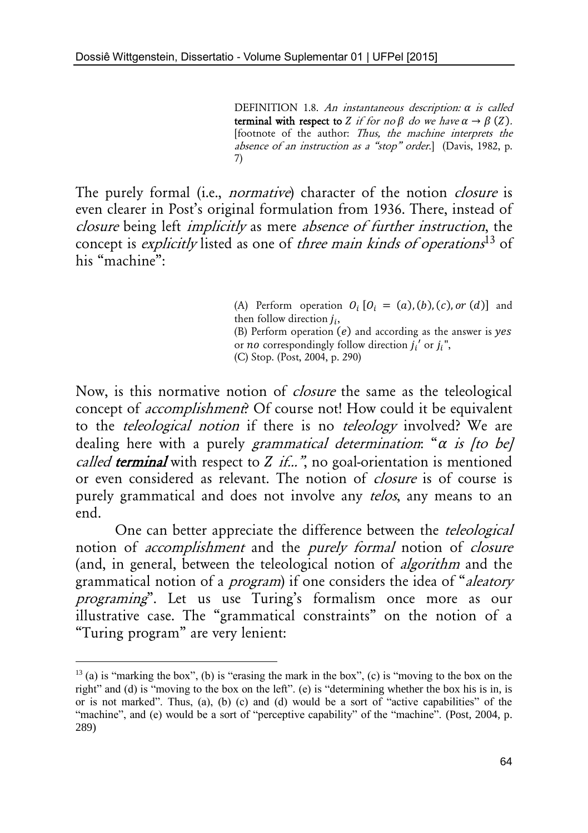DEFINITION 1.8. An instantaneous description:  $\alpha$  is called terminal with respect to Z if for no  $\beta$  do we have  $\alpha \rightarrow \beta$  (Z). [footnote of the author: Thus, the machine interprets the absence of an instruction as a "stop" order.] (Davis, 1982, p. 7)

The purely formal (i.e., *normative*) character of the notion *closure* is even clearer in Post's original formulation from 1936. There, instead of closure being left implicitly as mere absence of further instruction, the concept is *explicitly* listed as one of *three main kinds of operations*<sup>13</sup> of his "machine":

> (A) Perform operation  $O_i$  [ $O_i = (a)$ ,  $(b)$ ,  $(c)$ ,  $or$   $(d)$ ] and then follow direction  $j_i$ , (B) Perform operation  $(e)$  and according as the answer is  $yes$ or no correspondingly follow direction  $j_i'$  or  $j_i$ ", (C) Stop. (Post, 2004, p. 290)

Now, is this normative notion of closure the same as the teleological concept of accomplishment? Of course not! How could it be equivalent to the teleological notion if there is no teleology involved? We are dealing here with a purely *grammatical determination*: " $\alpha$  is [to be] called **terminal** with respect to  $Z$  if...", no goal-orientation is mentioned or even considered as relevant. The notion of closure is of course is purely grammatical and does not involve any *telos*, any means to an end.

One can better appreciate the difference between the teleological notion of accomplishment and the purely formal notion of closure (and, in general, between the teleological notion of *algorithm* and the grammatical notion of a program) if one considers the idea of "aleatory programing". Let us use Turing's formalism once more as our illustrative case. The "grammatical constraints" on the notion of a "Turing program" are very lenient:

1

 $13$  (a) is "marking the box", (b) is "erasing the mark in the box", (c) is "moving to the box on the right" and (d) is "moving to the box on the left". (e) is "determining whether the box his is in, is or is not marked". Thus, (a), (b) (c) and (d) would be a sort of "active capabilities" of the "machine", and (e) would be a sort of "perceptive capability" of the "machine". (Post, 2004, p. 289)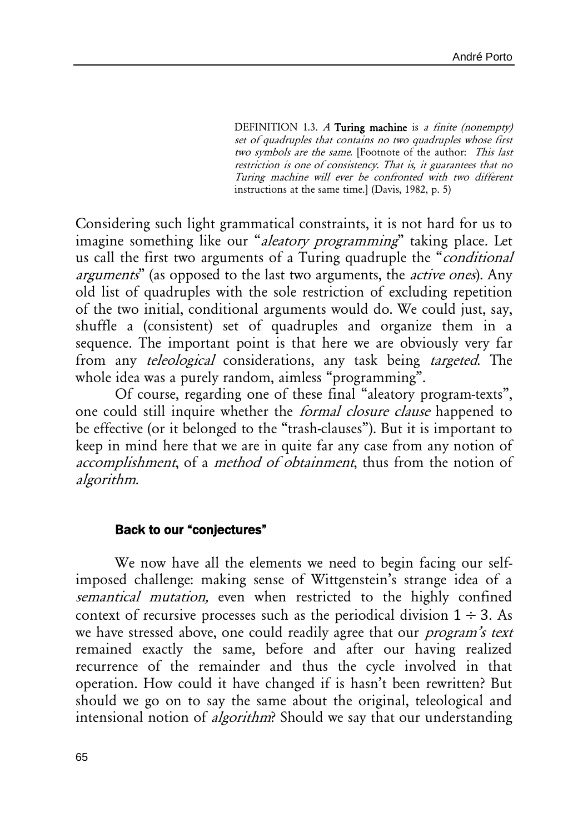DEFINITION 1.3. A Turing machine is a finite (nonempty) set of quadruples that contains no two quadruples whose first two symbols are the same. [Footnote of the author: This last restriction is one of consistency. That is, it guarantees that no Turing machine will ever be confronted with two different instructions at the same time.] (Davis, 1982, p. 5)

Considering such light grammatical constraints, it is not hard for us to imagine something like our "*aleatory programming*" taking place. Let us call the first two arguments of a Turing quadruple the "conditional arguments" (as opposed to the last two arguments, the *active ones*). Any old list of quadruples with the sole restriction of excluding repetition of the two initial, conditional arguments would do. We could just, say, shuffle a (consistent) set of quadruples and organize them in a sequence. The important point is that here we are obviously very far from any teleological considerations, any task being targeted. The whole idea was a purely random, aimless "programming".

Of course, regarding one of these final "aleatory program-texts", one could still inquire whether the formal closure clause happened to be effective (or it belonged to the "trash-clauses"). But it is important to keep in mind here that we are in quite far any case from any notion of accomplishment, of a method of obtainment, thus from the notion of algorithm.

#### Back to our "conjectures"

We now have all the elements we need to begin facing our selfimposed challenge: making sense of Wittgenstein's strange idea of a semantical mutation, even when restricted to the highly confined context of recursive processes such as the periodical division  $1 \div 3$ . As we have stressed above, one could readily agree that our *program's text* remained exactly the same, before and after our having realized recurrence of the remainder and thus the cycle involved in that operation. How could it have changed if is hasn't been rewritten? But should we go on to say the same about the original, teleological and intensional notion of *algorithm*? Should we say that our understanding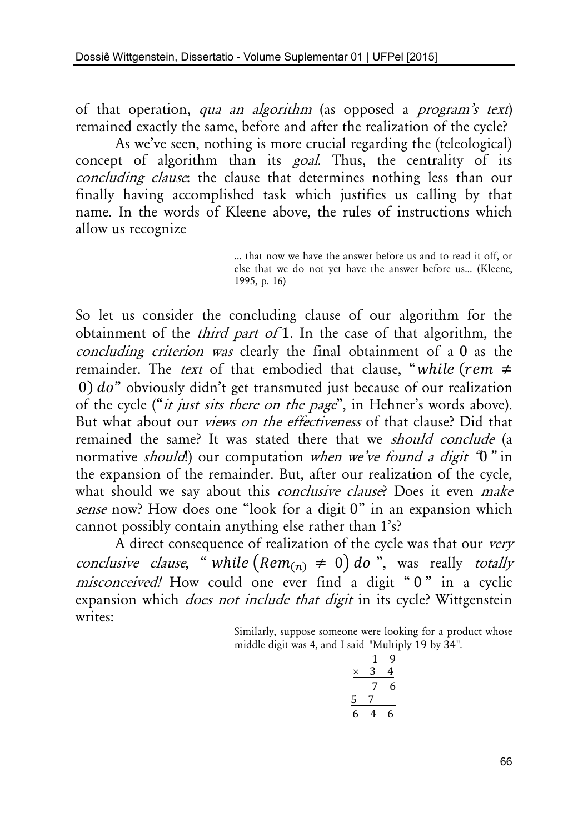of that operation, qua an algorithm (as opposed a program's text) remained exactly the same, before and after the realization of the cycle?

As we've seen, nothing is more crucial regarding the (teleological) concept of algorithm than its *goal*. Thus, the centrality of its concluding clause: the clause that determines nothing less than our finally having accomplished task which justifies us calling by that name. In the words of Kleene above, the rules of instructions which allow us recognize

> … that now we have the answer before us and to read it off, or else that we do not yet have the answer before us… (Kleene, 1995, p. 16)

So let us consider the concluding clause of our algorithm for the obtainment of the third part of 1. In the case of that algorithm, the concluding criterion was clearly the final obtainment of a 0 as the remainder. The text of that embodied that clause, "while ( $rem \neq$ 0)  $do$ " obviously didn't get transmuted just because of our realization of the cycle ("it just sits there on the page", in Hehner's words above). But what about our *views on the effectiveness* of that clause? Did that remained the same? It was stated there that we should conclude (a normative *should*!) our computation when we've found a digit "0" in the expansion of the remainder. But, after our realization of the cycle, what should we say about this *conclusive clause*? Does it even *make* sense now? How does one "look for a digit 0" in an expansion which cannot possibly contain anything else rather than 1's?

A direct consequence of realization of the cycle was that our very conclusive clause, " while  $(Rem_{(n)} \neq 0)$  do ", was really totally misconceived! How could one ever find a digit "0" in a cyclic expansion which *does not include that digit* in its cycle? Wittgenstein writes:

Similarly, suppose someone were looking for a product whose middle digit was 4, and I said "Multiply 19 by 34".

$$
\begin{array}{@{}c@{\hspace{1em}}c@{\hspace{1em}}}\n & 1 & 9 \\
 \times & 3 & 4 \\
 \hline\n & 7 & 6 \\
 \hline\n & 5 & 7 \\
 \hline\n & 6 & 4 & 6\n \end{array}
$$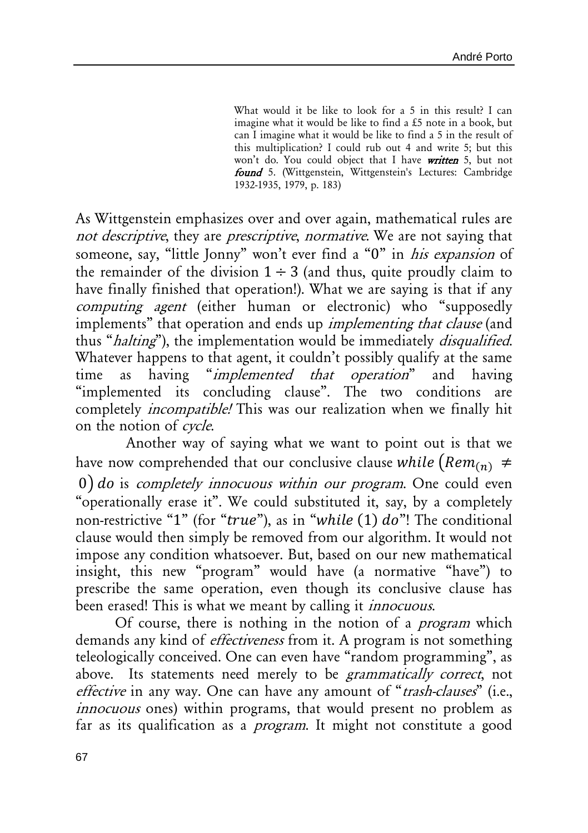What would it be like to look for a 5 in this result? I can imagine what it would be like to find a £5 note in a book, but can I imagine what it would be like to find a 5 in the result of this multiplication? I could rub out 4 and write 5; but this won't do. You could object that I have **written** 5, but not found 5. (Wittgenstein, Wittgenstein's Lectures: Cambridge 1932-1935, 1979, p. 183)

As Wittgenstein emphasizes over and over again, mathematical rules are not descriptive, they are prescriptive, normative. We are not saying that someone, say, "little Jonny" won't ever find a "0" in his expansion of the remainder of the division  $1 \div 3$  (and thus, quite proudly claim to have finally finished that operation!). What we are saying is that if any computing agent (either human or electronic) who "supposedly implements" that operation and ends up *implementing that clause* (and thus "*halting*"), the implementation would be immediately *disqualified*. Whatever happens to that agent, it couldn't possibly qualify at the same time as having "implemented that operation" and having "implemented its concluding clause". The two conditions are completely incompatible! This was our realization when we finally hit on the notion of cycle.

Another way of saying what we want to point out is that we have now comprehended that our conclusive clause while  $(Rem_{(n)} \neq$ 0) do is completely innocuous within our program. One could even "operationally erase it". We could substituted it, say, by a completely non-restrictive "1" (for "true"), as in "while (1) do"! The conditional clause would then simply be removed from our algorithm. It would not impose any condition whatsoever. But, based on our new mathematical insight, this new "program" would have (a normative "have") to prescribe the same operation, even though its conclusive clause has been erased! This is what we meant by calling it *innocuous*.

Of course, there is nothing in the notion of a program which demands any kind of *effectiveness* from it. A program is not something teleologically conceived. One can even have "random programming", as above. Its statements need merely to be grammatically correct, not effective in any way. One can have any amount of "*trash-clauses*" (i.e., innocuous ones) within programs, that would present no problem as far as its qualification as a program. It might not constitute a good

67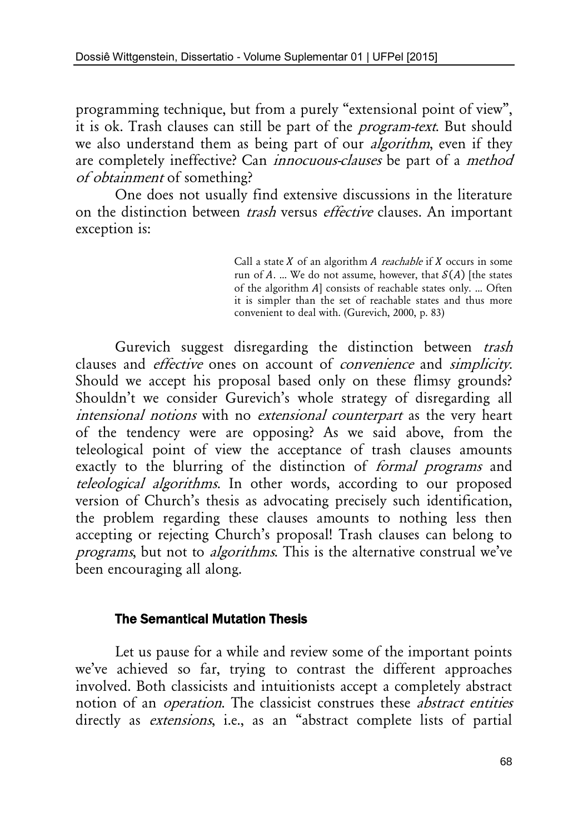programming technique, but from a purely "extensional point of view", it is ok. Trash clauses can still be part of the *program-text*. But should we also understand them as being part of our *algorithm*, even if they are completely ineffective? Can innocuous-clauses be part of a method of obtainment of something?

One does not usually find extensive discussions in the literature on the distinction between trash versus effective clauses. An important exception is:

> Call a state  $X$  of an algorithm  $A$  reachable if  $X$  occurs in some run of A. ... We do not assume, however, that  $\mathcal{S}(A)$  [the states of the algorithm  $A$ ] consists of reachable states only. ... Often it is simpler than the set of reachable states and thus more convenient to deal with. (Gurevich, 2000, p. 83)

Gurevich suggest disregarding the distinction between *trash* clauses and effective ones on account of convenience and simplicity. Should we accept his proposal based only on these flimsy grounds? Shouldn't we consider Gurevich's whole strategy of disregarding all intensional notions with no extensional counterpart as the very heart of the tendency were are opposing? As we said above, from the teleological point of view the acceptance of trash clauses amounts exactly to the blurring of the distinction of *formal programs* and teleological algorithms. In other words, according to our proposed version of Church's thesis as advocating precisely such identification, the problem regarding these clauses amounts to nothing less then accepting or rejecting Church's proposal! Trash clauses can belong to programs, but not to algorithms. This is the alternative construal we've been encouraging all along.

#### The Semantical Mutation Thesis

Let us pause for a while and review some of the important points we've achieved so far, trying to contrast the different approaches involved. Both classicists and intuitionists accept a completely abstract notion of an operation. The classicist construes these abstract entities directly as *extensions*, i.e., as an "abstract complete lists of partial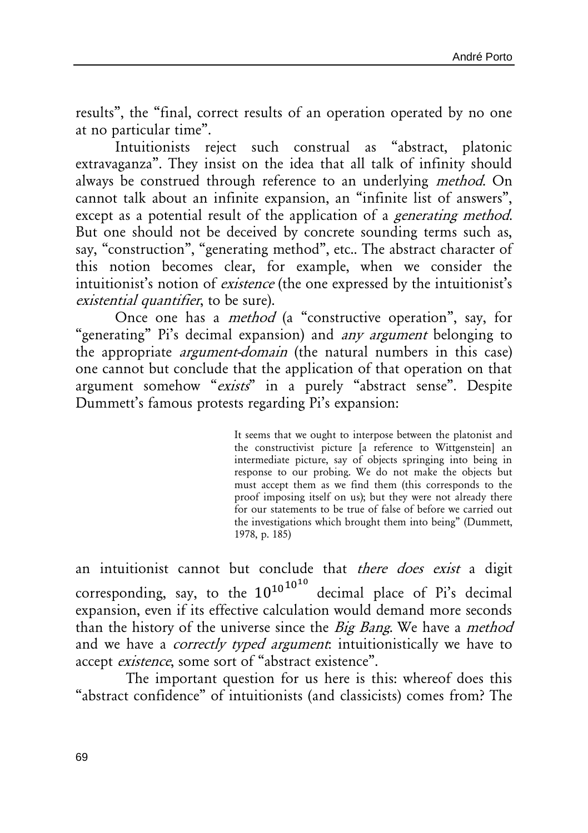results", the "final, correct results of an operation operated by no one at no particular time".

Intuitionists reject such construal as "abstract, platonic extravaganza". They insist on the idea that all talk of infinity should always be construed through reference to an underlying *method*. On cannot talk about an infinite expansion, an "infinite list of answers", except as a potential result of the application of a *generating method*. But one should not be deceived by concrete sounding terms such as, say, "construction", "generating method", etc.. The abstract character of this notion becomes clear, for example, when we consider the intuitionist's notion of existence (the one expressed by the intuitionist's existential quantifier, to be sure).

Once one has a method (a "constructive operation", say, for "generating" Pi's decimal expansion) and *any argument* belonging to the appropriate argument-domain (the natural numbers in this case) one cannot but conclude that the application of that operation on that argument somehow "exists" in a purely "abstract sense". Despite Dummett's famous protests regarding Pi's expansion:

> It seems that we ought to interpose between the platonist and the constructivist picture [a reference to Wittgenstein] an intermediate picture, say of objects springing into being in response to our probing. We do not make the objects but must accept them as we find them (this corresponds to the proof imposing itself on us); but they were not already there for our statements to be true of false of before we carried out the investigations which brought them into being" (Dummett, 1978, p. 185)

an intuitionist cannot but conclude that *there does exist* a digit corresponding, say, to the  $10^{10^{10^{10}}}$  decimal place of Pi's decimal expansion, even if its effective calculation would demand more seconds than the history of the universe since the Big Bang. We have a method and we have a *correctly typed argument*: intuitionistically we have to accept existence, some sort of "abstract existence".

The important question for us here is this: whereof does this "abstract confidence" of intuitionists (and classicists) comes from? The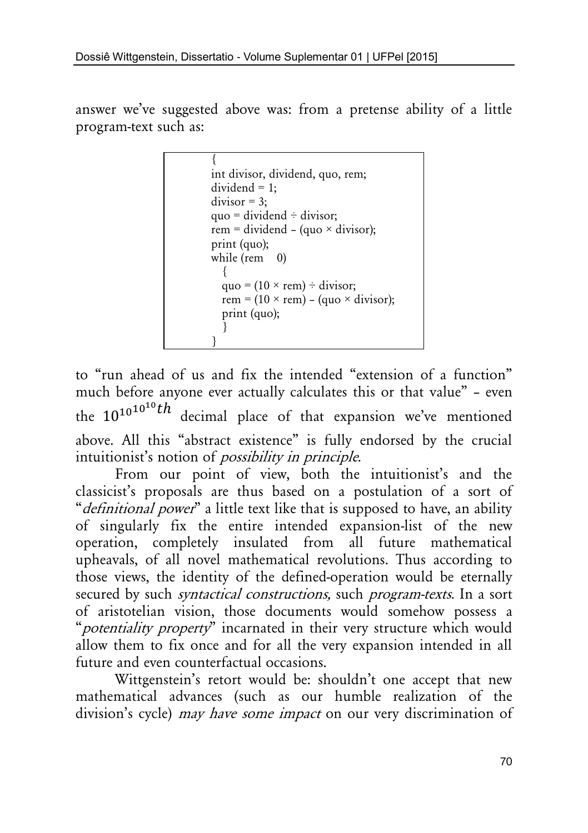answer we've suggested above was: from a pretense ability of a little program-text such as:

```
{
int divisor, dividend, quo, rem;
dividend = 1;
divisor = 3;
\alphauo = dividend ÷ divisor;
rem = dividend – (quo \times divisor);
print (quo);
while (rem \ 0){
  quo = (10 \times \text{rem}) \div \text{divisor};
  rem = (10 \times rem) – (quo \times divisor);
  print (quo);
   }
}
```
to "run ahead of us and fix the intended "extension of a function" much before anyone ever actually calculates this or that value" – even the  $10^{10^{10}}$ <sup>th</sup> decimal place of that expansion we've mentioned above. All this "abstract existence" is fully endorsed by the crucial intuitionist's notion of possibility in principle.

From our point of view, both the intuitionist's and the classicist's proposals are thus based on a postulation of a sort of "*definitional power*" a little text like that is supposed to have, an ability of singularly fix the entire intended expansion-list of the new operation, completely insulated from all future mathematical upheavals, of all novel mathematical revolutions. Thus according to those views, the identity of the defined-operation would be eternally secured by such syntactical constructions, such program-texts. In a sort of aristotelian vision, those documents would somehow possess a "potentiality property" incarnated in their very structure which would allow them to fix once and for all the very expansion intended in all future and even counterfactual occasions.

Wittgenstein's retort would be: shouldn't one accept that new mathematical advances (such as our humble realization of the division's cycle) *may have some impact* on our very discrimination of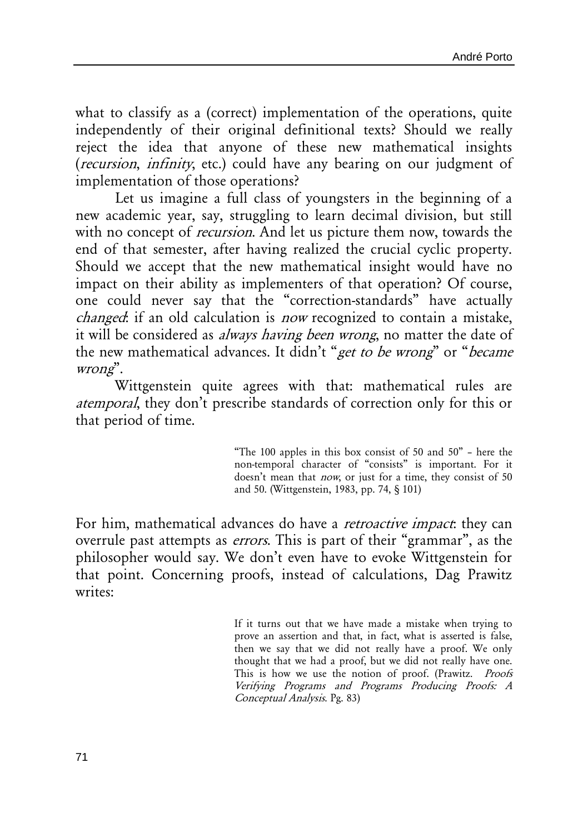what to classify as a (correct) implementation of the operations, quite independently of their original definitional texts? Should we really reject the idea that anyone of these new mathematical insights (recursion, infinity, etc.) could have any bearing on our judgment of implementation of those operations?

Let us imagine a full class of youngsters in the beginning of a new academic year, say, struggling to learn decimal division, but still with no concept of *recursion*. And let us picture them now, towards the end of that semester, after having realized the crucial cyclic property. Should we accept that the new mathematical insight would have no impact on their ability as implementers of that operation? Of course, one could never say that the "correction-standards" have actually changed: if an old calculation is now recognized to contain a mistake, it will be considered as *always having been wrong*, no matter the date of the new mathematical advances. It didn't "get to be wrong" or "became wrong".

Wittgenstein quite agrees with that: mathematical rules are atemporal, they don't prescribe standards of correction only for this or that period of time.

> "The 100 apples in this box consist of 50 and 50" – here the non-temporal character of "consists" is important. For it doesn't mean that now, or just for a time, they consist of 50 and 50. (Wittgenstein, 1983, pp. 74, § 101)

For him, mathematical advances do have a *retroactive impact*: they can overrule past attempts as errors. This is part of their "grammar", as the philosopher would say. We don't even have to evoke Wittgenstein for that point. Concerning proofs, instead of calculations, Dag Prawitz writes:

> If it turns out that we have made a mistake when trying to prove an assertion and that, in fact, what is asserted is false, then we say that we did not really have a proof. We only thought that we had a proof, but we did not really have one. This is how we use the notion of proof. (Prawitz. Proofs Verifying Programs and Programs Producing Proofs: A Conceptual Analysis. Pg. 83)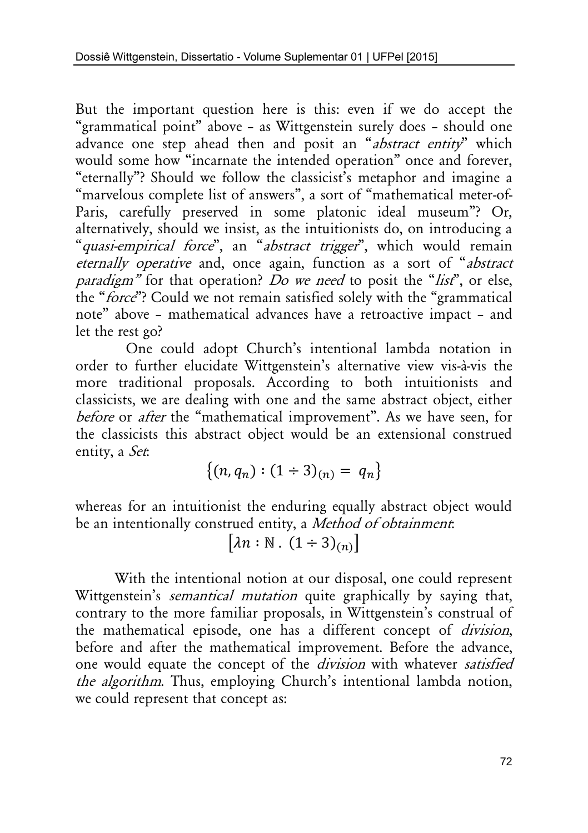But the important question here is this: even if we do accept the "grammatical point" above – as Wittgenstein surely does – should one advance one step ahead then and posit an "abstract entity" which would some how "incarnate the intended operation" once and forever, "eternally"? Should we follow the classicist's metaphor and imagine a "marvelous complete list of answers", a sort of "mathematical meter-of-Paris, carefully preserved in some platonic ideal museum"? Or, alternatively, should we insist, as the intuitionists do, on introducing a "quasi-empirical force", an "abstract trigger", which would remain eternally operative and, once again, function as a sort of "abstract *paradigm*" for that operation? *Do we need* to posit the "*list*", or else, the "force"? Could we not remain satisfied solely with the "grammatical note" above – mathematical advances have a retroactive impact – and let the rest go?

One could adopt Church's intentional lambda notation in order to further elucidate Wittgenstein's alternative view vis-à-vis the more traditional proposals. According to both intuitionists and classicists, we are dealing with one and the same abstract object, either before or after the "mathematical improvement". As we have seen, for the classicists this abstract object would be an extensional construed entity, a Set:

$$
\{(n, q_n) : (1 \div 3)_{(n)} = q_n\}
$$

whereas for an intuitionist the enduring equally abstract object would be an intentionally construed entity, a Method of obtainment.

 $[\lambda n : \mathbb{N} \cdot (1 \div 3)_{(n)}]$ 

With the intentional notion at our disposal, one could represent Wittgenstein's *semantical mutation* quite graphically by saying that, contrary to the more familiar proposals, in Wittgenstein's construal of the mathematical episode, one has a different concept of division, before and after the mathematical improvement. Before the advance, one would equate the concept of the *division* with whatever *satisfied* the algorithm. Thus, employing Church's intentional lambda notion, we could represent that concept as: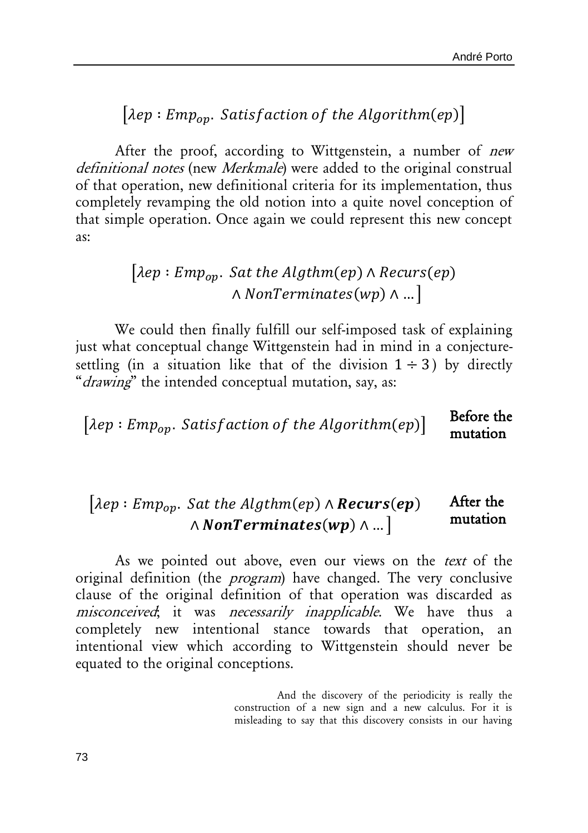## $[\lambda ep : Emp_{on}.$  Satisfaction of the Algorithm(ep)]

After the proof, according to Wittgenstein, a number of *new* definitional notes (new Merkmale) were added to the original construal of that operation, new definitional criteria for its implementation, thus completely revamping the old notion into a quite novel conception of that simple operation. Once again we could represent this new concept as:

## $[\lambda ep : Emp_{on}.$  Sat the Algthm(ep)  $\land$  Recurs(ep)  $\wedge$  NonTerminates(wp)  $\wedge$  ...]

We could then finally fulfill our self-imposed task of explaining just what conceptual change Wittgenstein had in mind in a conjecturesettling (in a situation like that of the division  $1 \div 3$ ) by directly "*drawing*" the intended conceptual mutation, say, as:

#### $[\lambda ep : Emp_{on}.$  Satisfaction of the Algorithm(ep)] Before the mutation

#### $[\lambda ep : Emp_{on}.$  Sat the Algthm(ep)  $\wedge$  **Recurs(ep)**  $\wedge$  NonTerminates(wp)  $\wedge ...$ ] After the mutation

As we pointed out above, even our views on the text of the original definition (the *program*) have changed. The very conclusive clause of the original definition of that operation was discarded as misconceived; it was necessarily inapplicable. We have thus a completely new intentional stance towards that operation, an intentional view which according to Wittgenstein should never be equated to the original conceptions.

> And the discovery of the periodicity is really the construction of a new sign and a new calculus. For it is misleading to say that this discovery consists in our having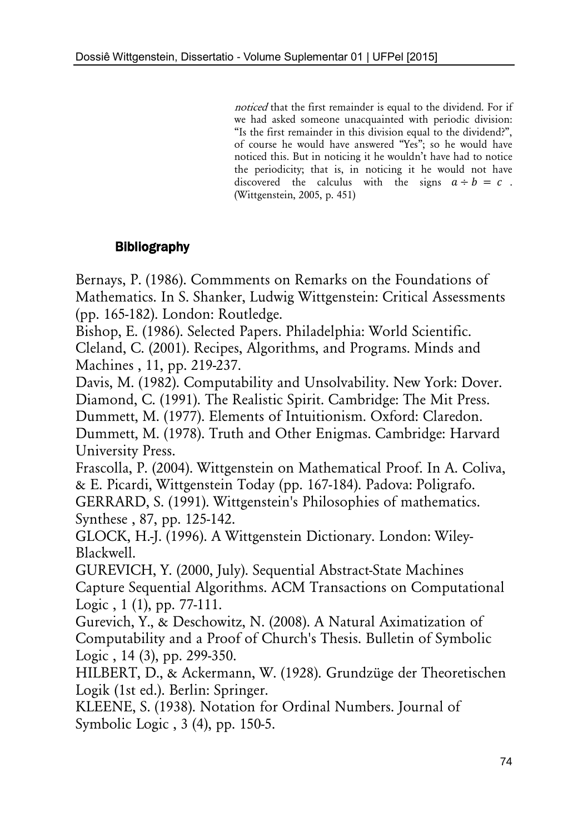noticed that the first remainder is equal to the dividend. For if we had asked someone unacquainted with periodic division: "Is the first remainder in this division equal to the dividend?", of course he would have answered "Yes"; so he would have noticed this. But in noticing it he wouldn't have had to notice the periodicity; that is, in noticing it he would not have discovered the calculus with the signs  $a \div b = c$ . (Wittgenstein, 2005, p. 451)

### **Bibliography**

Bernays, P. (1986). Commments on Remarks on the Foundations of Mathematics. In S. Shanker, Ludwig Wittgenstein: Critical Assessments (pp. 165-182). London: Routledge.

Bishop, E. (1986). Selected Papers. Philadelphia: World Scientific. Cleland, C. (2001). Recipes, Algorithms, and Programs. Minds and Machines , 11, pp. 219-237.

Davis, M. (1982). Computability and Unsolvability. New York: Dover. Diamond, C. (1991). The Realistic Spirit. Cambridge: The Mit Press.

Dummett, M. (1977). Elements of Intuitionism. Oxford: Claredon. Dummett, M. (1978). Truth and Other Enigmas. Cambridge: Harvard University Press.

Frascolla, P. (2004). Wittgenstein on Mathematical Proof. In A. Coliva, & E. Picardi, Wittgenstein Today (pp. 167-184). Padova: Poligrafo. GERRARD, S. (1991). Wittgenstein's Philosophies of mathematics. Synthese , 87, pp. 125-142.

GLOCK, H.-J. (1996). A Wittgenstein Dictionary. London: Wiley-Blackwell.

GUREVICH, Y. (2000, July). Sequential Abstract-State Machines Capture Sequential Algorithms. ACM Transactions on Computational Logic , 1 (1), pp. 77-111.

Gurevich, Y., & Deschowitz, N. (2008). A Natural Aximatization of Computability and a Proof of Church's Thesis. Bulletin of Symbolic Logic , 14 (3), pp. 299-350.

HILBERT, D., & Ackermann, W. (1928). Grundzüge der Theoretischen Logik (1st ed.). Berlin: Springer.

KLEENE, S. (1938). Notation for Ordinal Numbers. Journal of Symbolic Logic , 3 (4), pp. 150-5.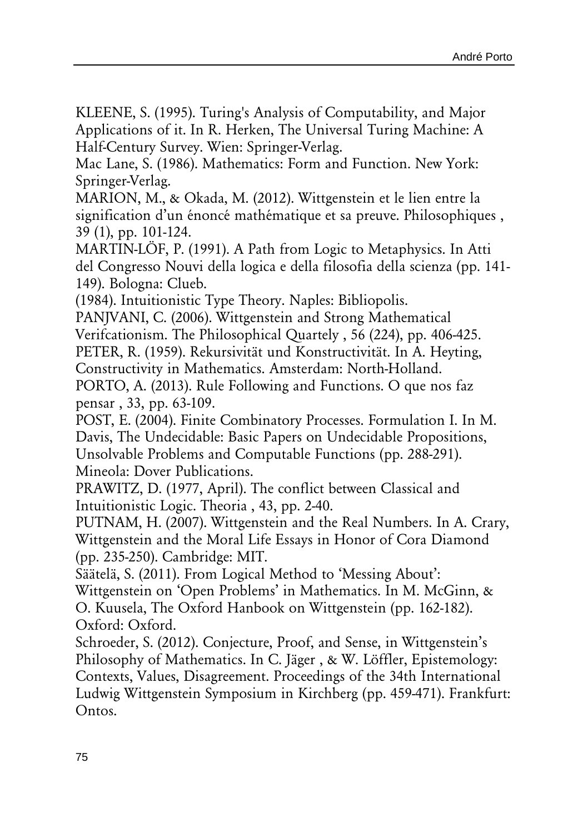KLEENE, S. (1995). Turing's Analysis of Computability, and Major Applications of it. In R. Herken, The Universal Turing Machine: A Half-Century Survey. Wien: Springer-Verlag.

Mac Lane, S. (1986). Mathematics: Form and Function. New York: Springer-Verlag.

MARION, M., & Okada, M. (2012). Wittgenstein et le lien entre la signification d'un énoncé mathématique et sa preuve. Philosophiques , 39 (1), pp. 101-124.

MARTIN-LÖF, P. (1991). A Path from Logic to Metaphysics. In Atti del Congresso Nouvi della logica e della filosofia della scienza (pp. 141- 149). Bologna: Clueb.

(1984). Intuitionistic Type Theory. Naples: Bibliopolis.

PANJVANI, C. (2006). Wittgenstein and Strong Mathematical Verifcationism. The Philosophical Quartely , 56 (224), pp. 406-425. PETER, R. (1959). Rekursivität und Konstructivität. In A. Heyting, Constructivity in Mathematics. Amsterdam: North-Holland. PORTO, A. (2013). Rule Following and Functions. O que nos faz

pensar , 33, pp. 63-109.

POST, E. (2004). Finite Combinatory Processes. Formulation I. In M. Davis, The Undecidable: Basic Papers on Undecidable Propositions, Unsolvable Problems and Computable Functions (pp. 288-291). Mineola: Dover Publications.

PRAWITZ, D. (1977, April). The conflict between Classical and Intuitionistic Logic. Theoria , 43, pp. 2-40.

PUTNAM, H. (2007). Wittgenstein and the Real Numbers. In A. Crary, Wittgenstein and the Moral Life Essays in Honor of Cora Diamond (pp. 235-250). Cambridge: MIT.

Säätelä, S. (2011). From Logical Method to 'Messing About':

Wittgenstein on 'Open Problems' in Mathematics. In M. McGinn, & O. Kuusela, The Oxford Hanbook on Wittgenstein (pp. 162-182). Oxford: Oxford.

Schroeder, S. (2012). Conjecture, Proof, and Sense, in Wittgenstein's Philosophy of Mathematics. In C. Jäger , & W. Löffler, Epistemology: Contexts, Values, Disagreement. Proceedings of the 34th International Ludwig Wittgenstein Symposium in Kirchberg (pp. 459-471). Frankfurt: Ontos.